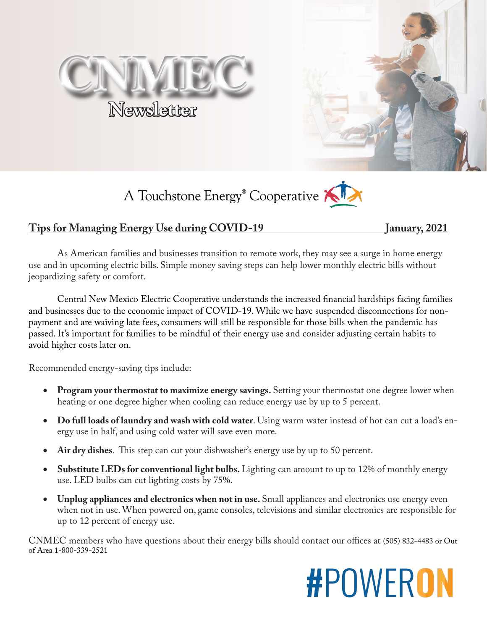





### **Tips for Managing Energy Use during COVID-19** January, 2021

As American families and businesses transition to remote work, they may see a surge in home energy use and in upcoming electric bills. Simple money saving steps can help lower monthly electric bills without jeopardizing safety or comfort.

Central New Mexico Electric Cooperative understands the increased financial hardships facing families and businesses due to the economic impact of COVID-19. While we have suspended disconnections for nonpayment and are waiving late fees, consumers will still be responsible for those bills when the pandemic has passed. It's important for families to be mindful of their energy use and consider adjusting certain habits to avoid higher costs later on.

Recommended energy-saving tips include:

- **Program your thermostat to maximize energy savings.** Setting your thermostat one degree lower when heating or one degree higher when cooling can reduce energy use by up to 5 percent.
- • **Do full loads of laundry and wash with cold water**. Using warm water instead of hot can cut a load's energy use in half, and using cold water will save even more.
- Air dry dishes. This step can cut your dishwasher's energy use by up to 50 percent.
- **Substitute LEDs for conventional light bulbs.** Lighting can amount to up to 12% of monthly energy use. LED bulbs can cut lighting costs by 75%.
- **Unplug appliances and electronics when not in use.** Small appliances and electronics use energy even when not in use. When powered on, game consoles, televisions and similar electronics are responsible for up to 12 percent of energy use.

CNMEC members who have questions about their energy bills should contact our offices at (505) 832-4483 or Out of Area 1-800-339-2521

# **#POWERON**